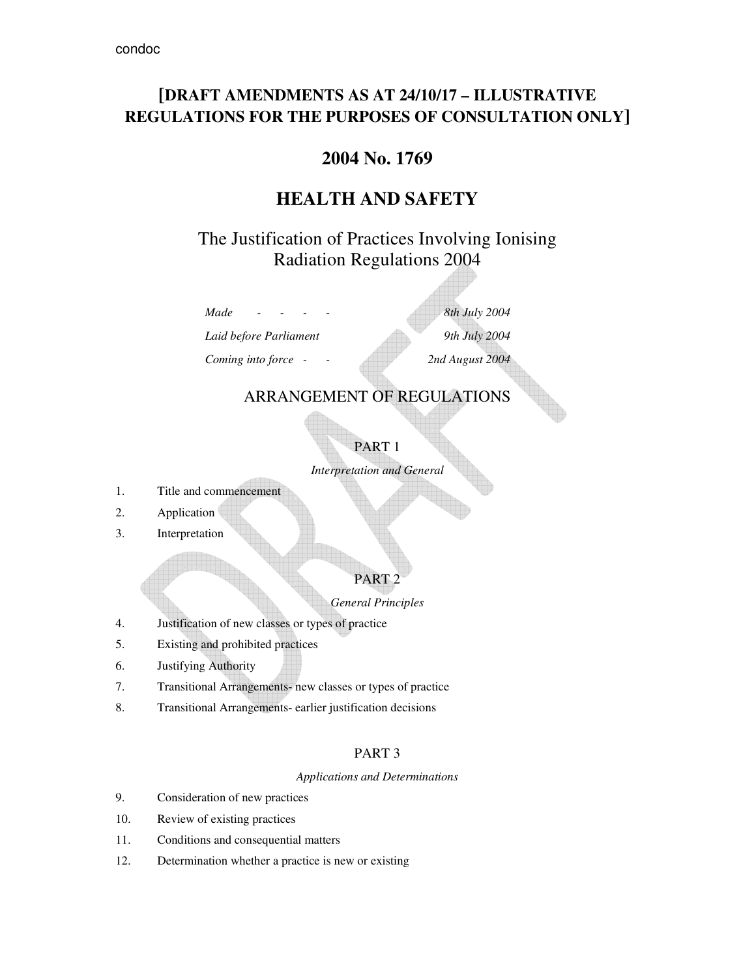# **[DRAFT AMENDMENTS AS AT 24/10/17 – ILLUSTRATIVE REGULATIONS FOR THE PURPOSES OF CONSULTATION ONLY]**

# **2004 No. 1769**

# **HEALTH AND SAFETY**

# The Justification of Practices Involving Ionising Radiation Regulations 2004

*Laid before Parliament 9th July 2004* 

*Coming into force - - 2nd August 2004* 

*Made - - - - 8th July 2004* 

## ARRANGEMENT OF REGULATIONS

# PART 1

*Interpretation and General* 

- 1. Title and commencement
- 2. Application
- 3. Interpretation

## PART 2

## *General Principles*

- 4. Justification of new classes or types of practice
- 5. Existing and prohibited practices
- 6. Justifying Authority
- 7. Transitional Arrangements- new classes or types of practice
- 8. Transitional Arrangements- earlier justification decisions

## PART 3

## *Applications and Determinations*

- 9. Consideration of new practices
- 10. Review of existing practices
- 11. Conditions and consequential matters
- 12. Determination whether a practice is new or existing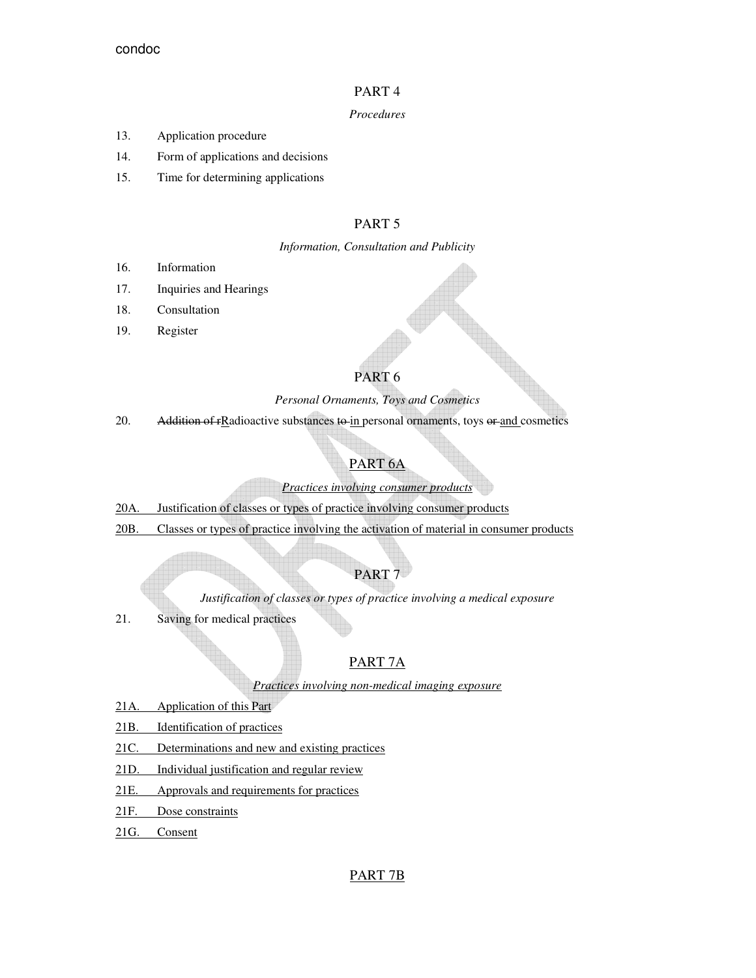## PART 4

## *Procedures*

- 13. Application procedure
- 14. Form of applications and decisions
- 15. Time for determining applications

## PART 5

## *Information, Consultation and Publicity*

- 16. Information
- 17. Inquiries and Hearings
- 18. Consultation
- 19. Register

## PART 6

## *Personal Ornaments, Toys and Cosmetics*

20. Addition of rRadioactive substances to in personal ornaments, toys or and cosmetics

## PART 6A

## *Practices involving consumer products*

- 20A. Justification of classes or types of practice involving consumer products
- 20B. Classes or types of practice involving the activation of material in consumer products

## PART<sub>7</sub>

*Justification of classes or types of practice involving a medical exposure* 

21. Saving for medical practices

## PART 7A

## *Practices involving non-medical imaging exposure*

- 21A. Application of this Part
- 21B. Identification of practices
- 21C. Determinations and new and existing practices
- 21D. Individual justification and regular review
- 21E. Approvals and requirements for practices
- 21F. Dose constraints
- 21G. Consent

## PART 7B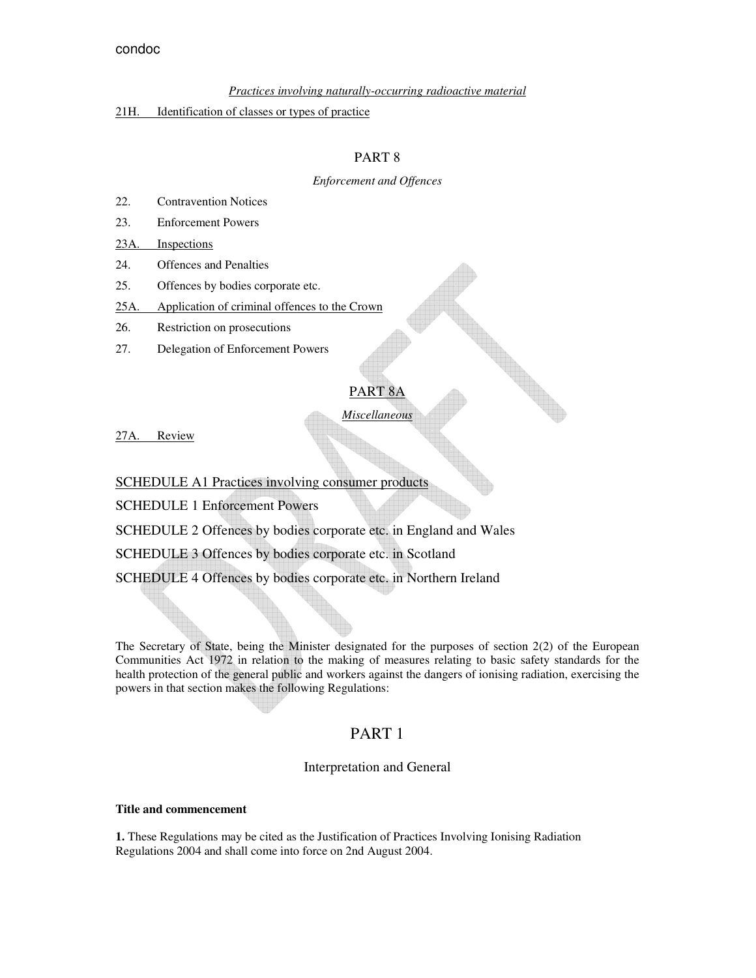#### *Practices involving naturally-occurring radioactive material*

#### 21H. Identification of classes or types of practice

## PART 8

#### *Enforcement and Offences*

- 22. Contravention Notices
- 23. Enforcement Powers

#### 23A. Inspections

- 24. Offences and Penalties
- 25. Offences by bodies corporate etc.
- 25A. Application of criminal offences to the Crown
- 26. Restriction on prosecutions
- 27. Delegation of Enforcement Powers

### PART 8A

*Miscellaneous* 

27A. Review

## SCHEDULE A1 Practices involving consumer products

SCHEDULE 1 Enforcement Powers

SCHEDULE 2 Offences by bodies corporate etc. in England and Wales

SCHEDULE 3 Offences by bodies corporate etc. in Scotland

SCHEDULE 4 Offences by bodies corporate etc. in Northern Ireland

The Secretary of State, being the Minister designated for the purposes of section 2(2) of the European Communities Act 1972 in relation to the making of measures relating to basic safety standards for the health protection of the general public and workers against the dangers of ionising radiation, exercising the powers in that section makes the following Regulations:

## PART 1

## Interpretation and General

#### **Title and commencement**

**1.** These Regulations may be cited as the Justification of Practices Involving Ionising Radiation Regulations 2004 and shall come into force on 2nd August 2004.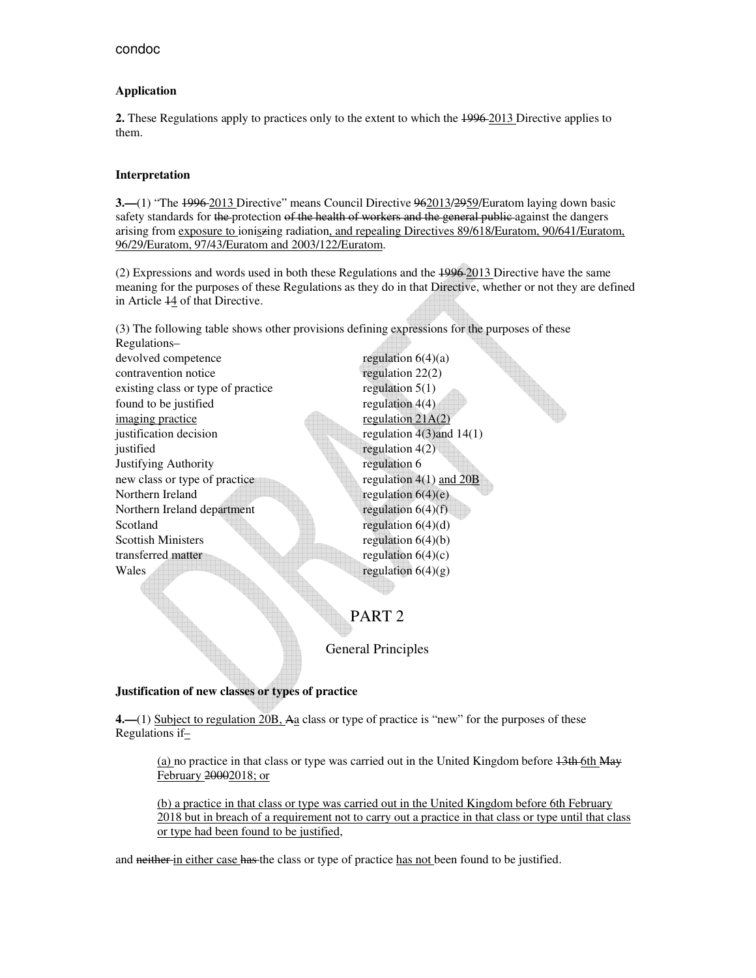## **Application**

**2.** These Regulations apply to practices only to the extent to which the 1996 2013 Directive applies to them.

## **Interpretation**

**3.—**(1) "The 1996 2013 Directive" means Council Directive 962013/2959/Euratom laying down basic safety standards for the protection of the health of workers and the general public against the dangers arising from exposure to ioniszing radiation, and repealing Directives 89/618/Euratom, 90/641/Euratom. 96/29/Euratom, 97/43/Euratom and 2003/122/Euratom.

(2) Expressions and words used in both these Regulations and the 1996 2013 Directive have the same meaning for the purposes of these Regulations as they do in that Directive, whether or not they are defined in Article 14 of that Directive.

(3) The following table shows other provisions defining expressions for the purposes of these

Regulations– devolved competence regulation  $6(4)(a)$ contravention notice regulation 22(2) existing class or type of practice regulation  $5(1)$ found to be justified regulation  $4(4)$ imaging practice regulation 21A(2) justification decision  $\text{regularized} \ (4)(1)$ justified regulation 4(2) Justifying Authority regulation 6 new class or type of practice regulation 4(1) and 20B Northern Ireland regulation 6(4)(e) Northern Ireland department regulation  $6(4)(f)$ Scotland regulation  $6(4)(d)$ Scottish Ministers regulation  $6(4)(b)$ transferred matter regulation  $6(4)(c)$ Wales regulation  $6(4)(g)$ 

and the contract of the contract of the contract of the contract of the contract of the contract of the contract of the contract of the contract of the contract of the contract of the contract of the contract of the contra

## PART 2

General Principles

## **Justification of new classes or types of practice**

**4.—**(1) Subject to regulation 20B, Aa class or type of practice is "new" for the purposes of these Regulations if $\pm$ 

(a) no practice in that class or type was carried out in the United Kingdom before 13th 6th May February 20002018; or

(b) a practice in that class or type was carried out in the United Kingdom before 6th February 2018 but in breach of a requirement not to carry out a practice in that class or type until that class or type had been found to be justified,

and neither in either case has the class or type of practice has not been found to be justified.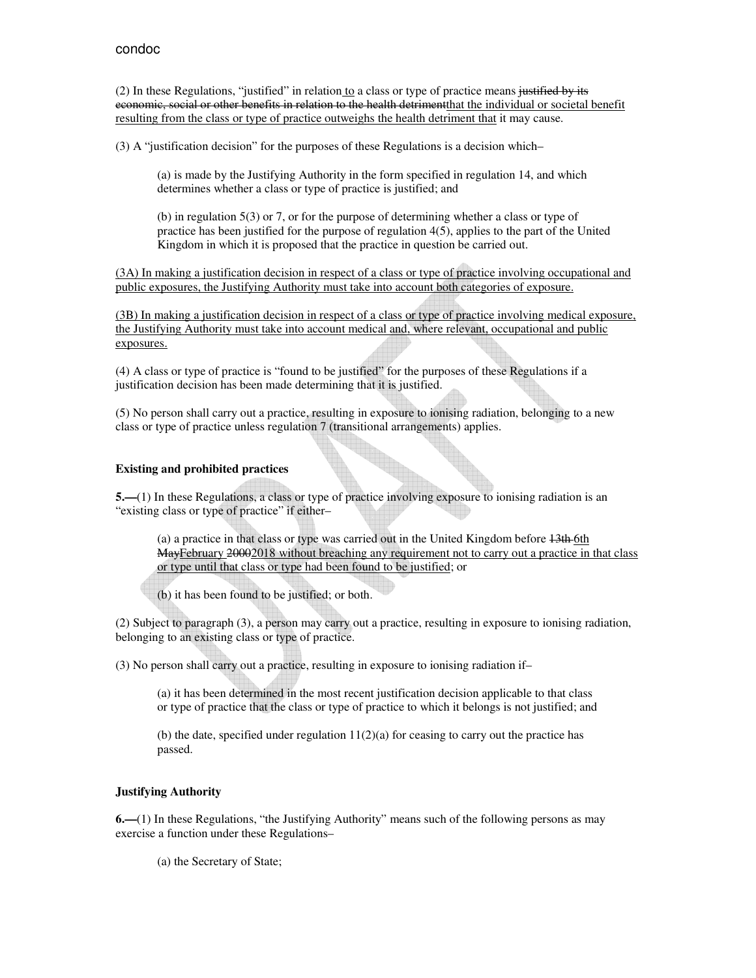(2) In these Regulations, "justified" in relation to a class or type of practice means justified by its economic, social or other benefits in relation to the health detrimentthat the individual or societal benefit resulting from the class or type of practice outweighs the health detriment that it may cause.

(3) A "justification decision" for the purposes of these Regulations is a decision which–

(a) is made by the Justifying Authority in the form specified in regulation 14, and which determines whether a class or type of practice is justified; and

(b) in regulation 5(3) or 7, or for the purpose of determining whether a class or type of practice has been justified for the purpose of regulation 4(5), applies to the part of the United Kingdom in which it is proposed that the practice in question be carried out.

(3A) In making a justification decision in respect of a class or type of practice involving occupational and public exposures, the Justifying Authority must take into account both categories of exposure.

(3B) In making a justification decision in respect of a class or type of practice involving medical exposure, the Justifying Authority must take into account medical and, where relevant, occupational and public exposures.

(4) A class or type of practice is "found to be justified" for the purposes of these Regulations if a justification decision has been made determining that it is justified.

(5) No person shall carry out a practice, resulting in exposure to ionising radiation, belonging to a new class or type of practice unless regulation 7 (transitional arrangements) applies.

## **Existing and prohibited practices**

**5.—(1)** In these Regulations, a class or type of practice involving exposure to ionising radiation is an "existing class or type of practice" if either–

(a) a practice in that class or type was carried out in the United Kingdom before 13th 6th MayFebruary 20002018 without breaching any requirement not to carry out a practice in that class or type until that class or type had been found to be justified; or

(b) it has been found to be justified; or both.

(2) Subject to paragraph (3), a person may carry out a practice, resulting in exposure to ionising radiation, belonging to an existing class or type of practice.

(3) No person shall carry out a practice, resulting in exposure to ionising radiation if–

(a) it has been determined in the most recent justification decision applicable to that class or type of practice that the class or type of practice to which it belongs is not justified; and

(b) the date, specified under regulation  $11(2)(a)$  for ceasing to carry out the practice has passed.

## **Justifying Authority**

**6.—**(1) In these Regulations, "the Justifying Authority" means such of the following persons as may exercise a function under these Regulations–

(a) the Secretary of State;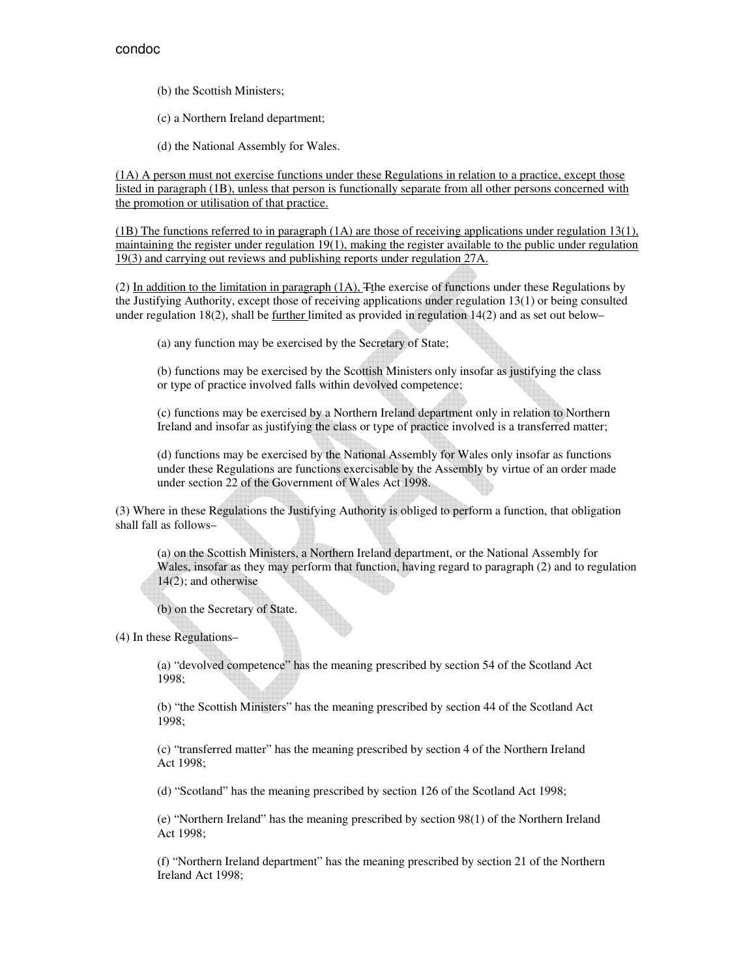(b) the Scottish Ministers;

- (c) a Northern Ireland department;
- (d) the National Assembly for Wales.

(1A) A person must not exercise functions under these Regulations in relation to a practice, except those listed in paragraph (1B), unless that person is functionally separate from all other persons concerned with the promotion or utilisation of that practice.

 $(1B)$  The functions referred to in paragraph  $(1A)$  are those of receiving applications under regulation 13(1), maintaining the register under regulation 19(1), making the register available to the public under regulation 19(3) and carrying out reviews and publishing reports under regulation 27A.

(2) In addition to the limitation in paragraph (1A), Tthe exercise of functions under these Regulations by the Justifying Authority, except those of receiving applications under regulation 13(1) or being consulted under regulation 18(2), shall be further limited as provided in regulation 14(2) and as set out below–

(a) any function may be exercised by the Secretary of State;

(b) functions may be exercised by the Scottish Ministers only insofar as justifying the class or type of practice involved falls within devolved competence;

(c) functions may be exercised by a Northern Ireland department only in relation to Northern Ireland and insofar as justifying the class or type of practice involved is a transferred matter;

(d) functions may be exercised by the National Assembly for Wales only insofar as functions under these Regulations are functions exercisable by the Assembly by virtue of an order made under section 22 of the Government of Wales Act 1998.

(3) Where in these Regulations the Justifying Authority is obliged to perform a function, that obligation shall fall as follows–

(a) on the Scottish Ministers, a Northern Ireland department, or the National Assembly for Wales, insofar as they may perform that function, having regard to paragraph (2) and to regulation 14(2); and otherwise

(b) on the Secretary of State.

(4) In these Regulations–

(a) "devolved competence" has the meaning prescribed by section 54 of the Scotland Act 1998;

(b) "the Scottish Ministers" has the meaning prescribed by section 44 of the Scotland Act 1998;

(c) "transferred matter" has the meaning prescribed by section 4 of the Northern Ireland Act 1998;

(d) "Scotland" has the meaning prescribed by section 126 of the Scotland Act 1998;

(e) "Northern Ireland" has the meaning prescribed by section 98(1) of the Northern Ireland Act 1998;

(f) "Northern Ireland department" has the meaning prescribed by section 21 of the Northern Ireland Act 1998;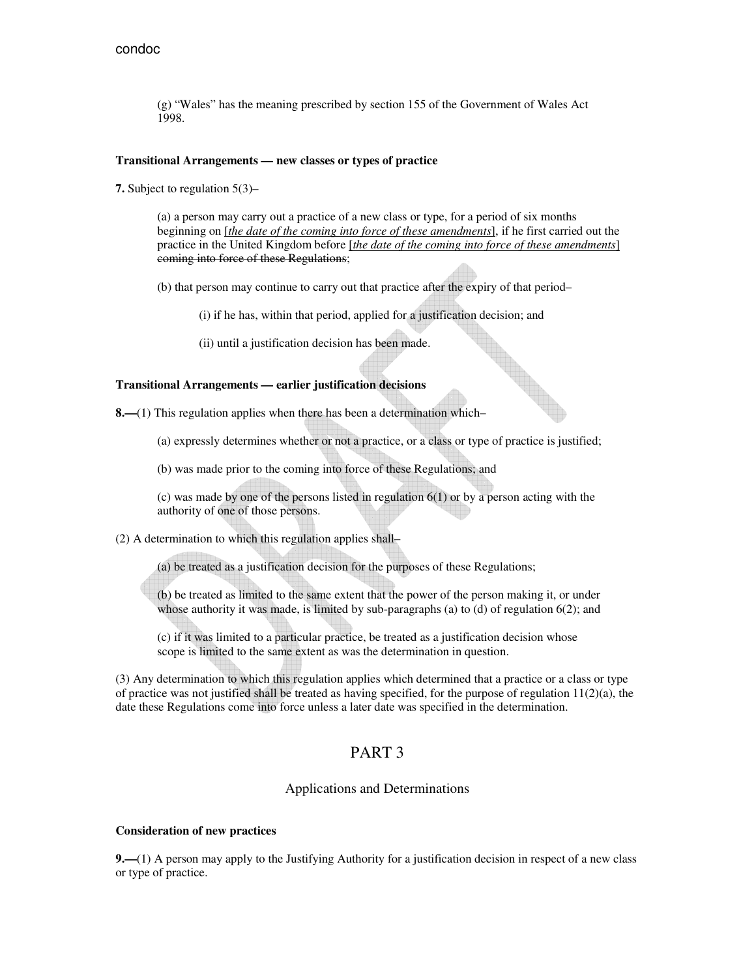(g) "Wales" has the meaning prescribed by section 155 of the Government of Wales Act 1998.

#### **Transitional Arrangements — new classes or types of practice**

**7.** Subject to regulation 5(3)–

(a) a person may carry out a practice of a new class or type, for a period of six months beginning on [*the date of the coming into force of these amendments*], if he first carried out the practice in the United Kingdom before [*the date of the coming into force of these amendments*] coming into force of these Regulations;

- (b) that person may continue to carry out that practice after the expiry of that period–
	- (i) if he has, within that period, applied for a justification decision; and
	- (ii) until a justification decision has been made.

#### **Transitional Arrangements — earlier justification decisions**

**8.—**(1) This regulation applies when there has been a determination which–

(a) expressly determines whether or not a practice, or a class or type of practice is justified;

(b) was made prior to the coming into force of these Regulations; and

(c) was made by one of the persons listed in regulation 6(1) or by a person acting with the authority of one of those persons.

(2) A determination to which this regulation applies shall–

(a) be treated as a justification decision for the purposes of these Regulations;

(b) be treated as limited to the same extent that the power of the person making it, or under whose authority it was made, is limited by sub-paragraphs (a) to (d) of regulation 6(2); and

(c) if it was limited to a particular practice, be treated as a justification decision whose scope is limited to the same extent as was the determination in question.

(3) Any determination to which this regulation applies which determined that a practice or a class or type of practice was not justified shall be treated as having specified, for the purpose of regulation  $11(2)(a)$ , the date these Regulations come into force unless a later date was specified in the determination.

## PART 3

#### Applications and Determinations

#### **Consideration of new practices**

**9.—**(1) A person may apply to the Justifying Authority for a justification decision in respect of a new class or type of practice.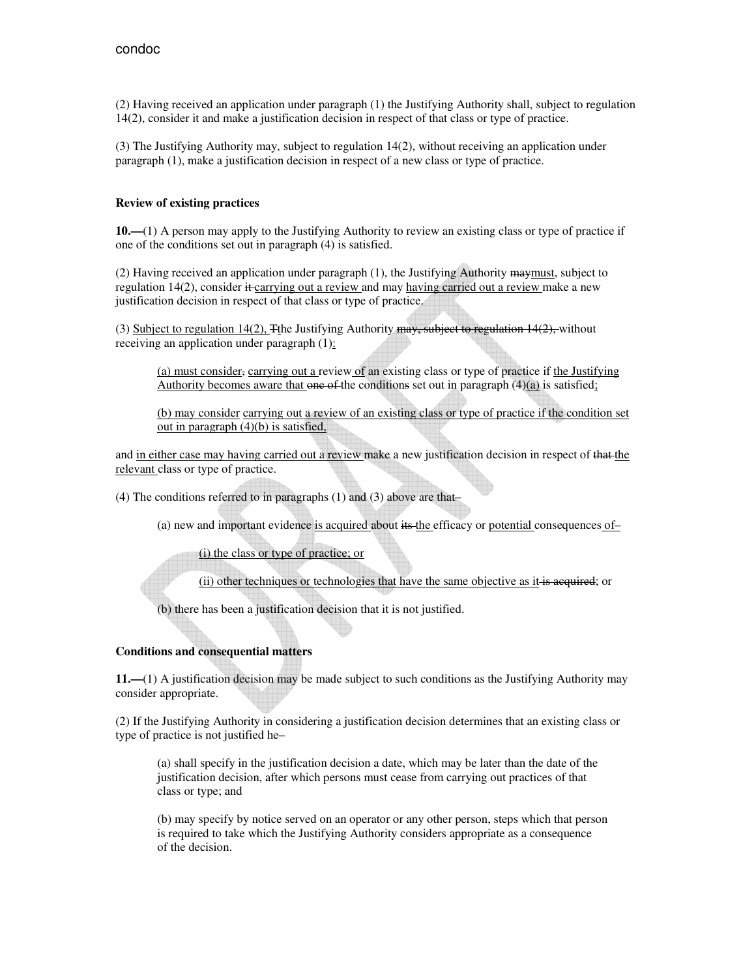(2) Having received an application under paragraph (1) the Justifying Authority shall, subject to regulation 14(2), consider it and make a justification decision in respect of that class or type of practice.

(3) The Justifying Authority may, subject to regulation 14(2), without receiving an application under paragraph (1), make a justification decision in respect of a new class or type of practice.

### **Review of existing practices**

**10.—**(1) A person may apply to the Justifying Authority to review an existing class or type of practice if one of the conditions set out in paragraph (4) is satisfied.

(2) Having received an application under paragraph  $(1)$ , the Justifying Authority maymust, subject to regulation  $14(2)$ , consider  $\ddot{\textbf{t}}$  carrying out a review and may having carried out a review make a new justification decision in respect of that class or type of practice.

(3) Subject to regulation 14(2), The Justifying Authority may, subject to regulation  $14(2)$ , without receiving an application under paragraph (1):

(a) must consider, carrying out a review of an existing class or type of practice if the Justifying Authority becomes aware that one of the conditions set out in paragraph  $(4)(a)$  is satisfied;

(b) may consider carrying out a review of an existing class or type of practice if the condition set out in paragraph (4)(b) is satisfied,

and in either case may having carried out a review make a new justification decision in respect of that the relevant class or type of practice.

(4) The conditions referred to in paragraphs (1) and (3) above are that–

(a) new and important evidence is acquired about its the efficacy or potential consequences of–

(i) the class or type of practice; or

(ii) other techniques or technologies that have the same objective as it is acquired; or

(b) there has been a justification decision that it is not justified.

## **Conditions and consequential matters**

**11.—**(1) A justification decision may be made subject to such conditions as the Justifying Authority may consider appropriate.

(2) If the Justifying Authority in considering a justification decision determines that an existing class or type of practice is not justified he–

(a) shall specify in the justification decision a date, which may be later than the date of the justification decision, after which persons must cease from carrying out practices of that class or type; and

(b) may specify by notice served on an operator or any other person, steps which that person is required to take which the Justifying Authority considers appropriate as a consequence of the decision.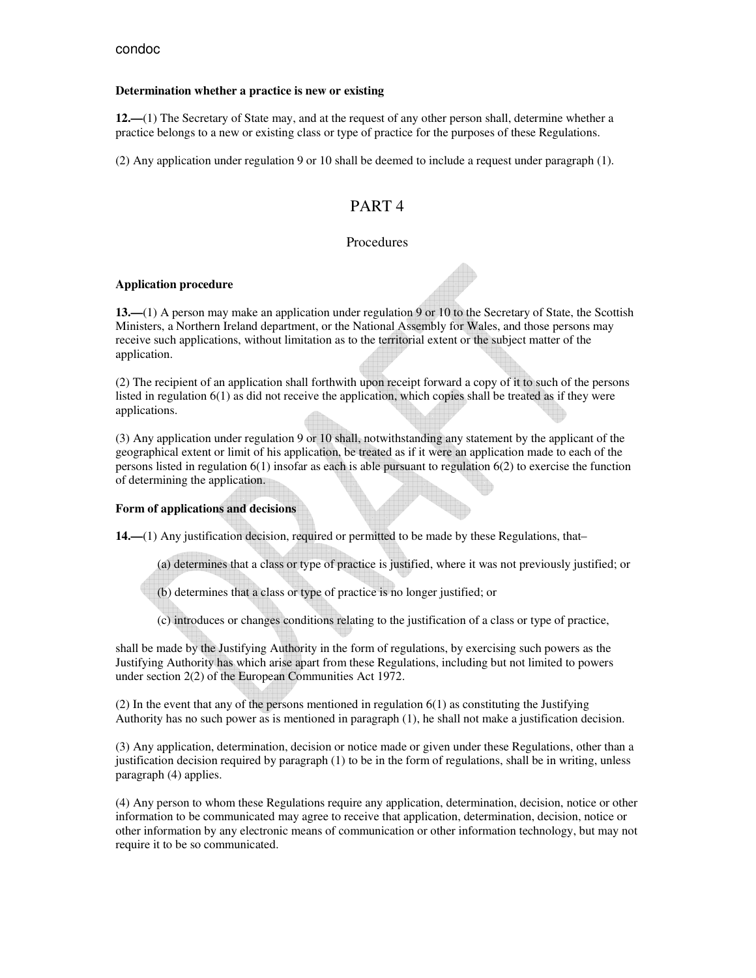### **Determination whether a practice is new or existing**

**12.—**(1) The Secretary of State may, and at the request of any other person shall, determine whether a practice belongs to a new or existing class or type of practice for the purposes of these Regulations.

(2) Any application under regulation 9 or 10 shall be deemed to include a request under paragraph (1).

## PART 4

## Procedures

#### **Application procedure**

**13.—**(1) A person may make an application under regulation 9 or 10 to the Secretary of State, the Scottish Ministers, a Northern Ireland department, or the National Assembly for Wales, and those persons may receive such applications, without limitation as to the territorial extent or the subject matter of the application.

(2) The recipient of an application shall forthwith upon receipt forward a copy of it to such of the persons listed in regulation 6(1) as did not receive the application, which copies shall be treated as if they were applications.

(3) Any application under regulation 9 or 10 shall, notwithstanding any statement by the applicant of the geographical extent or limit of his application, be treated as if it were an application made to each of the persons listed in regulation 6(1) insofar as each is able pursuant to regulation 6(2) to exercise the function of determining the application.

### **Form of applications and decisions**

**14.—**(1) Any justification decision, required or permitted to be made by these Regulations, that–

(a) determines that a class or type of practice is justified, where it was not previously justified; or

(b) determines that a class or type of practice is no longer justified; or

(c) introduces or changes conditions relating to the justification of a class or type of practice,

shall be made by the Justifying Authority in the form of regulations, by exercising such powers as the Justifying Authority has which arise apart from these Regulations, including but not limited to powers under section 2(2) of the European Communities Act 1972.

(2) In the event that any of the persons mentioned in regulation 6(1) as constituting the Justifying Authority has no such power as is mentioned in paragraph (1), he shall not make a justification decision.

(3) Any application, determination, decision or notice made or given under these Regulations, other than a justification decision required by paragraph (1) to be in the form of regulations, shall be in writing, unless paragraph (4) applies.

(4) Any person to whom these Regulations require any application, determination, decision, notice or other information to be communicated may agree to receive that application, determination, decision, notice or other information by any electronic means of communication or other information technology, but may not require it to be so communicated.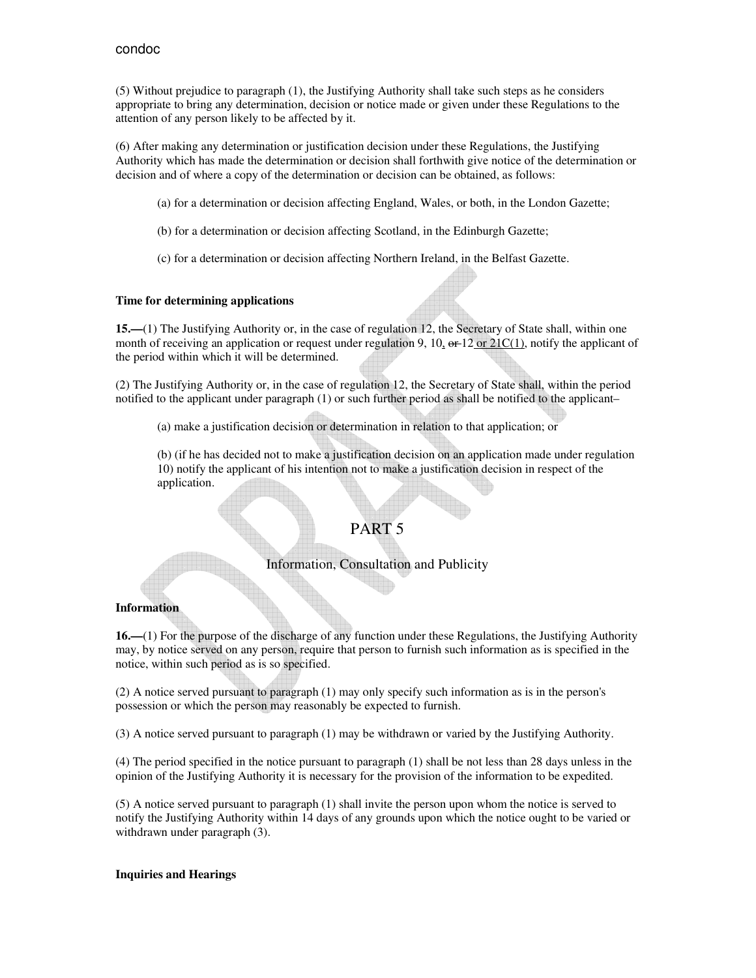(5) Without prejudice to paragraph (1), the Justifying Authority shall take such steps as he considers appropriate to bring any determination, decision or notice made or given under these Regulations to the attention of any person likely to be affected by it.

(6) After making any determination or justification decision under these Regulations, the Justifying Authority which has made the determination or decision shall forthwith give notice of the determination or decision and of where a copy of the determination or decision can be obtained, as follows:

- (a) for a determination or decision affecting England, Wales, or both, in the London Gazette;
- (b) for a determination or decision affecting Scotland, in the Edinburgh Gazette;
- (c) for a determination or decision affecting Northern Ireland, in the Belfast Gazette.

#### **Time for determining applications**

**15.—**(1) The Justifying Authority or, in the case of regulation 12, the Secretary of State shall, within one month of receiving an application or request under regulation 9, 10,  $\Theta F^{-12}$  or  $21C(1)$ , notify the applicant of the period within which it will be determined.

(2) The Justifying Authority or, in the case of regulation 12, the Secretary of State shall, within the period notified to the applicant under paragraph (1) or such further period as shall be notified to the applicant–

(a) make a justification decision or determination in relation to that application; or

(b) (if he has decided not to make a justification decision on an application made under regulation 10) notify the applicant of his intention not to make a justification decision in respect of the application.

## PART 5

## Information, Consultation and Publicity

### **Information**

**16.—**(1) For the purpose of the discharge of any function under these Regulations, the Justifying Authority may, by notice served on any person, require that person to furnish such information as is specified in the notice, within such period as is so specified.

(2) A notice served pursuant to paragraph (1) may only specify such information as is in the person's possession or which the person may reasonably be expected to furnish.

(3) A notice served pursuant to paragraph (1) may be withdrawn or varied by the Justifying Authority.

(4) The period specified in the notice pursuant to paragraph (1) shall be not less than 28 days unless in the opinion of the Justifying Authority it is necessary for the provision of the information to be expedited.

(5) A notice served pursuant to paragraph (1) shall invite the person upon whom the notice is served to notify the Justifying Authority within 14 days of any grounds upon which the notice ought to be varied or withdrawn under paragraph (3).

#### **Inquiries and Hearings**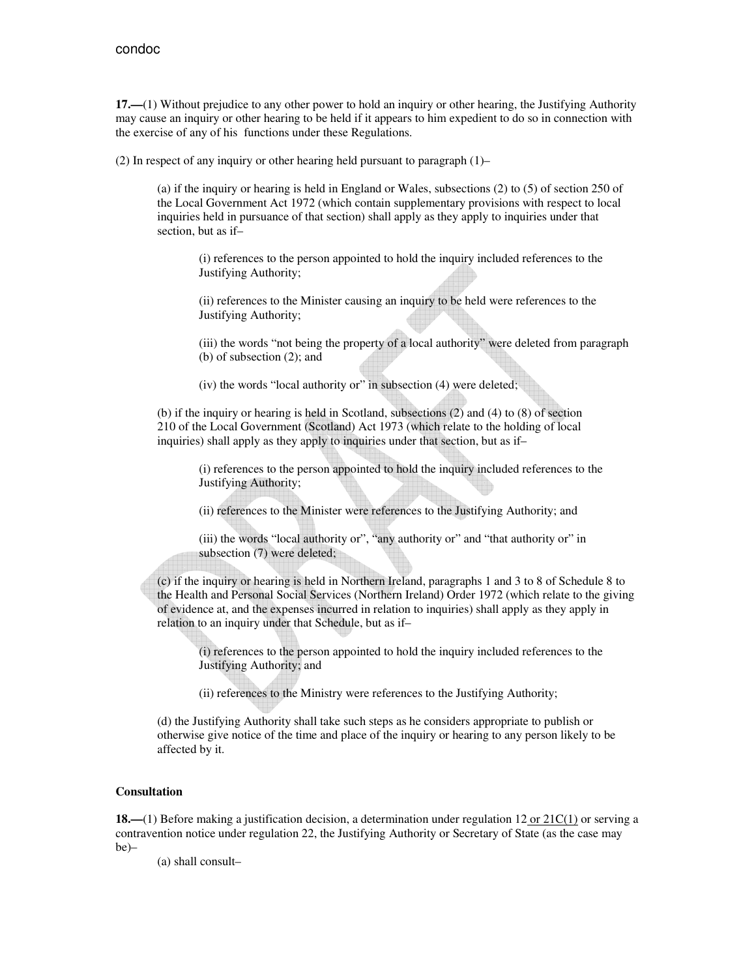**17.—**(1) Without prejudice to any other power to hold an inquiry or other hearing, the Justifying Authority may cause an inquiry or other hearing to be held if it appears to him expedient to do so in connection with the exercise of any of his functions under these Regulations.

(2) In respect of any inquiry or other hearing held pursuant to paragraph (1)–

(a) if the inquiry or hearing is held in England or Wales, subsections (2) to (5) of section 250 of the Local Government Act 1972 (which contain supplementary provisions with respect to local inquiries held in pursuance of that section) shall apply as they apply to inquiries under that section, but as if–

(i) references to the person appointed to hold the inquiry included references to the Justifying Authority;

(ii) references to the Minister causing an inquiry to be held were references to the Justifying Authority;

(iii) the words "not being the property of a local authority" were deleted from paragraph (b) of subsection (2); and

(iv) the words "local authority or" in subsection (4) were deleted;

(b) if the inquiry or hearing is held in Scotland, subsections (2) and (4) to (8) of section 210 of the Local Government (Scotland) Act 1973 (which relate to the holding of local inquiries) shall apply as they apply to inquiries under that section, but as if–

> (i) references to the person appointed to hold the inquiry included references to the Justifying Authority;

(ii) references to the Minister were references to the Justifying Authority; and

(iii) the words "local authority or", "any authority or" and "that authority or" in subsection (7) were deleted;

(c) if the inquiry or hearing is held in Northern Ireland, paragraphs 1 and 3 to 8 of Schedule 8 to the Health and Personal Social Services (Northern Ireland) Order 1972 (which relate to the giving of evidence at, and the expenses incurred in relation to inquiries) shall apply as they apply in relation to an inquiry under that Schedule, but as if–

(i) references to the person appointed to hold the inquiry included references to the Justifying Authority; and

(ii) references to the Ministry were references to the Justifying Authority;

(d) the Justifying Authority shall take such steps as he considers appropriate to publish or otherwise give notice of the time and place of the inquiry or hearing to any person likely to be affected by it.

#### **Consultation**

**18.—**(1) Before making a justification decision, a determination under regulation 12 or 21C(1) or serving a contravention notice under regulation 22, the Justifying Authority or Secretary of State (as the case may be)–

(a) shall consult–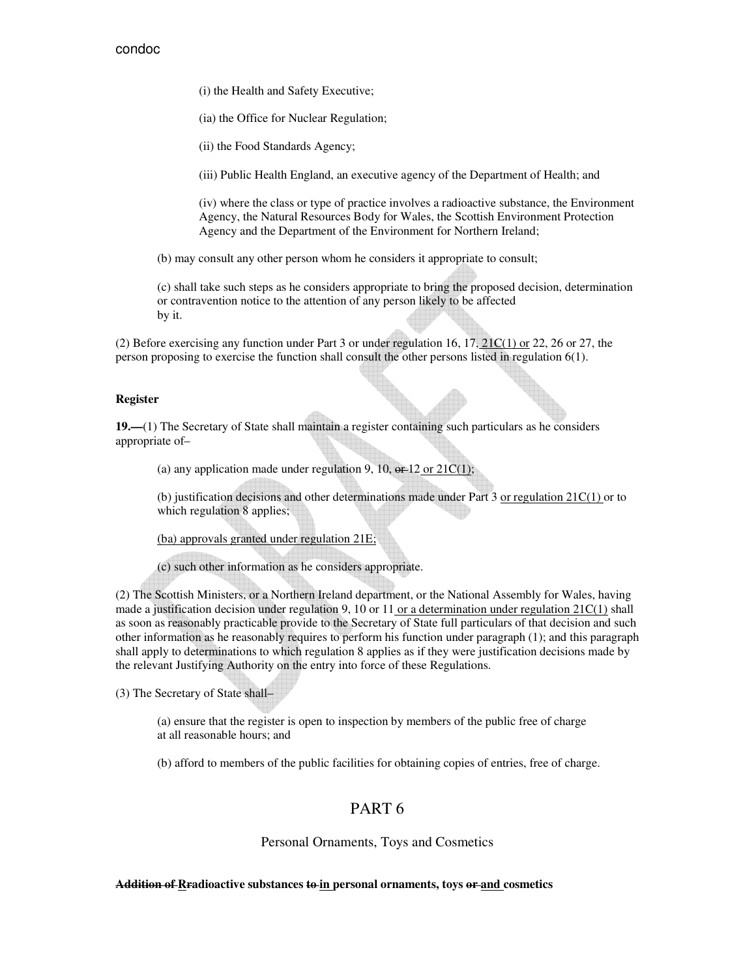(i) the Health and Safety Executive;

(ia) the Office for Nuclear Regulation;

(ii) the Food Standards Agency;

(iii) Public Health England, an executive agency of the Department of Health; and

(iv) where the class or type of practice involves a radioactive substance, the Environment Agency, the Natural Resources Body for Wales, the Scottish Environment Protection Agency and the Department of the Environment for Northern Ireland;

(b) may consult any other person whom he considers it appropriate to consult;

(c) shall take such steps as he considers appropriate to bring the proposed decision, determination or contravention notice to the attention of any person likely to be affected by it.

(2) Before exercising any function under Part 3 or under regulation 16,  $17, 21C(1)$  or 22, 26 or 27, the person proposing to exercise the function shall consult the other persons listed in regulation 6(1).

#### **Register**

**19.—**(1) The Secretary of State shall maintain a register containing such particulars as he considers appropriate of–

(a) any application made under regulation 9, 10,  $\Theta$  + 12 or 21C(1);

(b) justification decisions and other determinations made under Part 3 or regulation 21C(1) or to which regulation 8 applies;

(ba) approvals granted under regulation 21E;

(c) such other information as he considers appropriate.

(2) The Scottish Ministers, or a Northern Ireland department, or the National Assembly for Wales, having made a justification decision under regulation 9, 10 or 11 or a determination under regulation 21C(1) shall as soon as reasonably practicable provide to the Secretary of State full particulars of that decision and such other information as he reasonably requires to perform his function under paragraph (1); and this paragraph shall apply to determinations to which regulation 8 applies as if they were justification decisions made by the relevant Justifying Authority on the entry into force of these Regulations.

(3) The Secretary of State shall–

(a) ensure that the register is open to inspection by members of the public free of charge at all reasonable hours; and

(b) afford to members of the public facilities for obtaining copies of entries, free of charge.

## PART 6

#### Personal Ornaments, Toys and Cosmetics

**Addition of Rradioactive substances to in personal ornaments, toys or and cosmetics**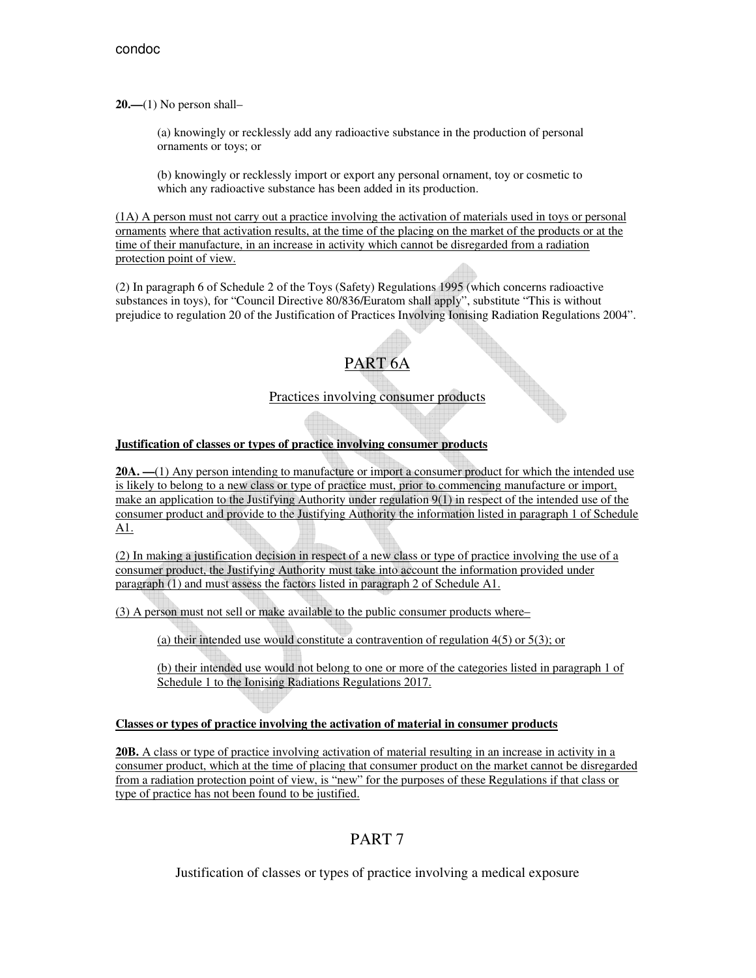**20.—**(1) No person shall–

(a) knowingly or recklessly add any radioactive substance in the production of personal ornaments or toys; or

(b) knowingly or recklessly import or export any personal ornament, toy or cosmetic to which any radioactive substance has been added in its production.

(1A) A person must not carry out a practice involving the activation of materials used in toys or personal ornaments where that activation results, at the time of the placing on the market of the products or at the time of their manufacture, in an increase in activity which cannot be disregarded from a radiation protection point of view.

(2) In paragraph 6 of Schedule 2 of the Toys (Safety) Regulations 1995 (which concerns radioactive substances in toys), for "Council Directive 80/836/Euratom shall apply", substitute "This is without prejudice to regulation 20 of the Justification of Practices Involving Ionising Radiation Regulations 2004".



Practices involving consumer products

## **Justification of classes or types of practice involving consumer products**

**20A. —**(1) Any person intending to manufacture or import a consumer product for which the intended use is likely to belong to a new class or type of practice must, prior to commencing manufacture or import, make an application to the Justifying Authority under regulation 9(1) in respect of the intended use of the consumer product and provide to the Justifying Authority the information listed in paragraph 1 of Schedule A1.

(2) In making a justification decision in respect of a new class or type of practice involving the use of a consumer product, the Justifying Authority must take into account the information provided under paragraph (1) and must assess the factors listed in paragraph 2 of Schedule A1.

(3) A person must not sell or make available to the public consumer products where–

(a) their intended use would constitute a contravention of regulation 4(5) or 5(3); or

(b) their intended use would not belong to one or more of the categories listed in paragraph 1 of Schedule 1 to the Ionising Radiations Regulations 2017.

### **Classes or types of practice involving the activation of material in consumer products**

**20B.** A class or type of practice involving activation of material resulting in an increase in activity in a consumer product, which at the time of placing that consumer product on the market cannot be disregarded from a radiation protection point of view, is "new" for the purposes of these Regulations if that class or type of practice has not been found to be justified.

## PART 7

Justification of classes or types of practice involving a medical exposure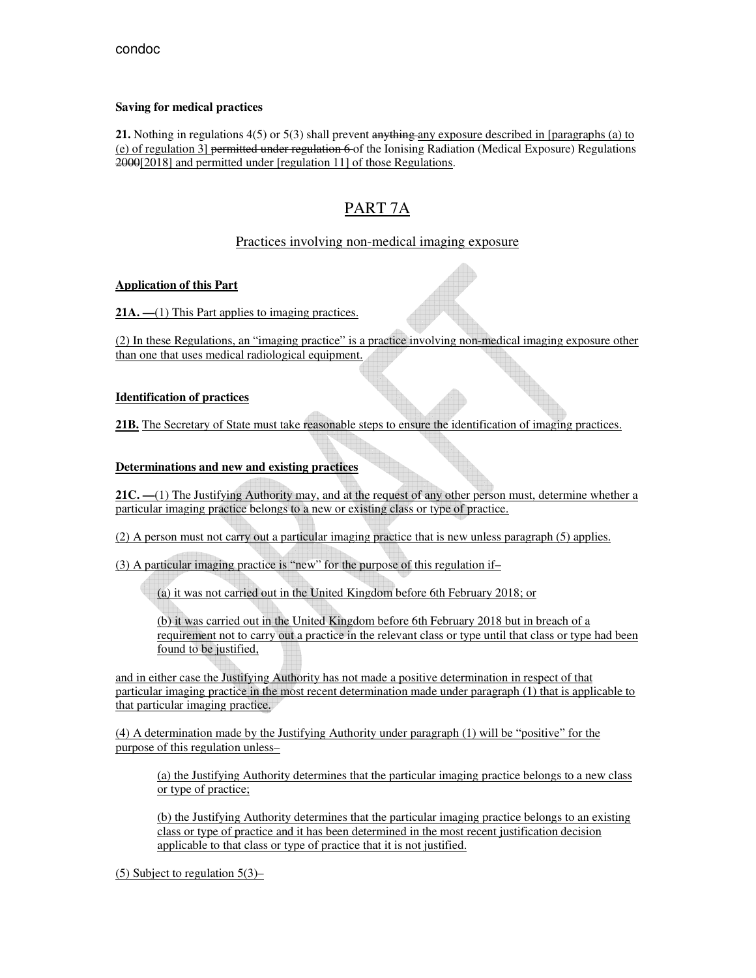### **Saving for medical practices**

**21.** Nothing in regulations 4(5) or 5(3) shall prevent anything any exposure described in [paragraphs (a) to (e) of regulation 3] permitted under regulation 6 of the Ionising Radiation (Medical Exposure) Regulations 2000[2018] and permitted under [regulation 11] of those Regulations.

# PART 7A

## Practices involving non-medical imaging exposure

## **Application of this Part**

21A. —(1) This Part applies to imaging practices.

(2) In these Regulations, an "imaging practice" is a practice involving non-medical imaging exposure other than one that uses medical radiological equipment.

## **Identification of practices**

**21B.** The Secretary of State must take reasonable steps to ensure the identification of imaging practices.

## **Determinations and new and existing practices**

21C. —(1) The Justifying Authority may, and at the request of any other person must, determine whether a particular imaging practice belongs to a new or existing class or type of practice.

(2) A person must not carry out a particular imaging practice that is new unless paragraph (5) applies.

(3) A particular imaging practice is "new" for the purpose of this regulation if–

(a) it was not carried out in the United Kingdom before 6th February 2018; or

(b) it was carried out in the United Kingdom before 6th February 2018 but in breach of a requirement not to carry out a practice in the relevant class or type until that class or type had been found to be justified,

and in either case the Justifying Authority has not made a positive determination in respect of that particular imaging practice in the most recent determination made under paragraph (1) that is applicable to that particular imaging practice.

(4) A determination made by the Justifying Authority under paragraph (1) will be "positive" for the purpose of this regulation unless–

(a) the Justifying Authority determines that the particular imaging practice belongs to a new class or type of practice;

(b) the Justifying Authority determines that the particular imaging practice belongs to an existing class or type of practice and it has been determined in the most recent justification decision applicable to that class or type of practice that it is not justified.

(5) Subject to regulation 5(3)–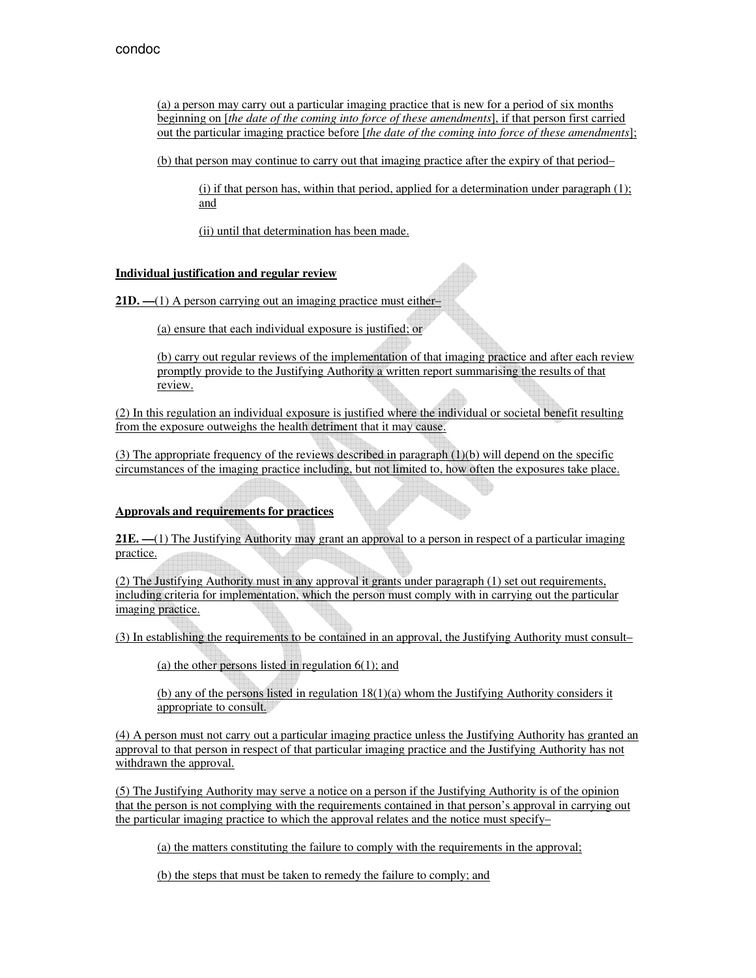(a) a person may carry out a particular imaging practice that is new for a period of six months beginning on [*the date of the coming into force of these amendments*], if that person first carried out the particular imaging practice before [*the date of the coming into force of these amendments*];

(b) that person may continue to carry out that imaging practice after the expiry of that period–

 $(i)$  if that person has, within that period, applied for a determination under paragraph  $(1)$ ; and

(ii) until that determination has been made.

### **Individual justification and regular review**

**21D. —**(1) A person carrying out an imaging practice must either–

(a) ensure that each individual exposure is justified; or

(b) carry out regular reviews of the implementation of that imaging practice and after each review promptly provide to the Justifying Authority a written report summarising the results of that review.

(2) In this regulation an individual exposure is justified where the individual or societal benefit resulting from the exposure outweighs the health detriment that it may cause.

 $(3)$  The appropriate frequency of the reviews described in paragraph  $(1)(b)$  will depend on the specific circumstances of the imaging practice including, but not limited to, how often the exposures take place.

### **Approvals and requirements for practices**

**21E.** —(1) The Justifying Authority may grant an approval to a person in respect of a particular imaging practice.

(2) The Justifying Authority must in any approval it grants under paragraph (1) set out requirements, including criteria for implementation, which the person must comply with in carrying out the particular imaging practice.

(3) In establishing the requirements to be contained in an approval, the Justifying Authority must consult–

(a) the other persons listed in regulation 6(1); and

(b) any of the persons listed in regulation  $18(1)(a)$  whom the Justifying Authority considers it appropriate to consult.

(4) A person must not carry out a particular imaging practice unless the Justifying Authority has granted an approval to that person in respect of that particular imaging practice and the Justifying Authority has not withdrawn the approval.

(5) The Justifying Authority may serve a notice on a person if the Justifying Authority is of the opinion that the person is not complying with the requirements contained in that person's approval in carrying out the particular imaging practice to which the approval relates and the notice must specify–

(a) the matters constituting the failure to comply with the requirements in the approval;

(b) the steps that must be taken to remedy the failure to comply; and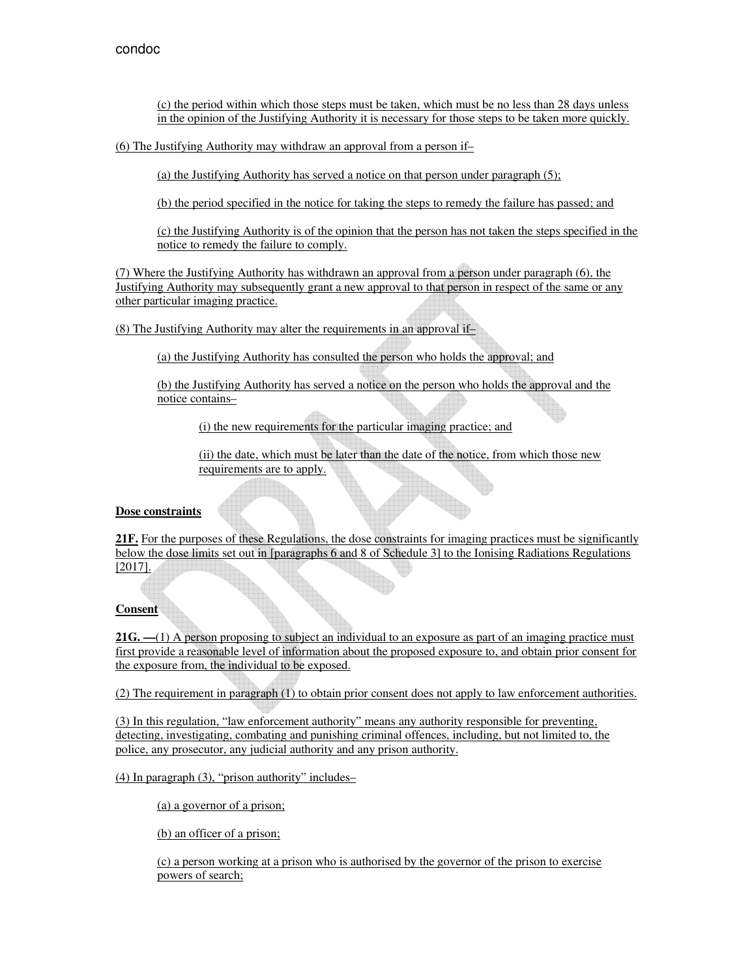(c) the period within which those steps must be taken, which must be no less than 28 days unless in the opinion of the Justifying Authority it is necessary for those steps to be taken more quickly.

(6) The Justifying Authority may withdraw an approval from a person if–

(a) the Justifying Authority has served a notice on that person under paragraph (5);

(b) the period specified in the notice for taking the steps to remedy the failure has passed; and

(c) the Justifying Authority is of the opinion that the person has not taken the steps specified in the notice to remedy the failure to comply.

(7) Where the Justifying Authority has withdrawn an approval from a person under paragraph (6), the Justifying Authority may subsequently grant a new approval to that person in respect of the same or any other particular imaging practice.

(8) The Justifying Authority may alter the requirements in an approval if–

(a) the Justifying Authority has consulted the person who holds the approval; and

(b) the Justifying Authority has served a notice on the person who holds the approval and the notice contains–

(i) the new requirements for the particular imaging practice; and

(ii) the date, which must be later than the date of the notice, from which those new requirements are to apply.

### **Dose constraints**

**21F.** For the purposes of these Regulations, the dose constraints for imaging practices must be significantly below the dose limits set out in [paragraphs 6 and 8 of Schedule 3] to the Ionising Radiations Regulations [2017].

### **Consent**

**21G.** —(1) A person proposing to subject an individual to an exposure as part of an imaging practice must first provide a reasonable level of information about the proposed exposure to, and obtain prior consent for the exposure from, the individual to be exposed.

(2) The requirement in paragraph (1) to obtain prior consent does not apply to law enforcement authorities.

(3) In this regulation, "law enforcement authority" means any authority responsible for preventing, detecting, investigating, combating and punishing criminal offences, including, but not limited to, the police, any prosecutor, any judicial authority and any prison authority.

(4) In paragraph (3), "prison authority" includes–

(a) a governor of a prison;

(b) an officer of a prison;

(c) a person working at a prison who is authorised by the governor of the prison to exercise powers of search;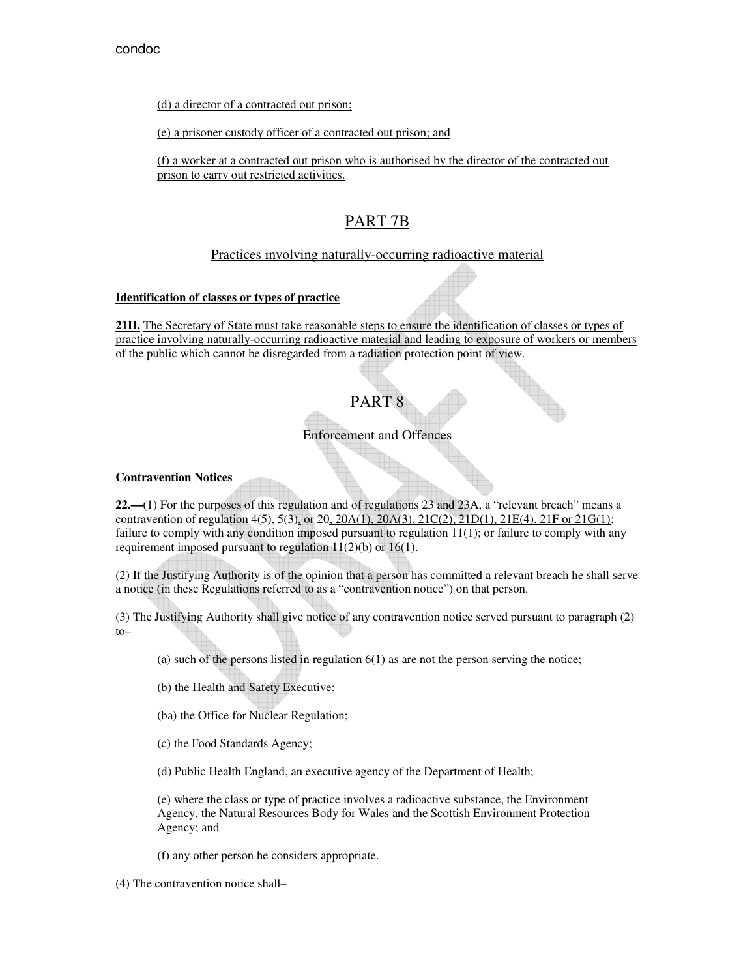(d) a director of a contracted out prison;

(e) a prisoner custody officer of a contracted out prison; and

(f) a worker at a contracted out prison who is authorised by the director of the contracted out prison to carry out restricted activities.

## PART 7B

## Practices involving naturally-occurring radioactive material

### **Identification of classes or types of practice**

**21H.** The Secretary of State must take reasonable steps to ensure the identification of classes or types of practice involving naturally-occurring radioactive material and leading to exposure of workers or members of the public which cannot be disregarded from a radiation protection point of view.

# PART 8

## Enforcement and Offences

### **Contravention Notices**

**22.—**(1) For the purposes of this regulation and of regulations 23 and 23A, a "relevant breach" means a contravention of regulation  $4(5)$ ,  $5(3)$ ,  $\text{e}t$ - $20\frac{20A(1)}{20A(3)}$ ,  $21C(2)$ ,  $21D(1)$ ,  $21E(4)$ ,  $21F$  or  $21G(1)$ ; failure to comply with any condition imposed pursuant to regulation 11(1); or failure to comply with any requirement imposed pursuant to regulation 11(2)(b) or 16(1).

(2) If the Justifying Authority is of the opinion that a person has committed a relevant breach he shall serve a notice (in these Regulations referred to as a "contravention notice") on that person.

(3) The Justifying Authority shall give notice of any contravention notice served pursuant to paragraph (2) to–

- (a) such of the persons listed in regulation  $6(1)$  as are not the person serving the notice;
- (b) the Health and Safety Executive;
- (ba) the Office for Nuclear Regulation;
- (c) the Food Standards Agency;
- (d) Public Health England, an executive agency of the Department of Health;

(e) where the class or type of practice involves a radioactive substance, the Environment Agency, the Natural Resources Body for Wales and the Scottish Environment Protection Agency; and

(f) any other person he considers appropriate.

(4) The contravention notice shall–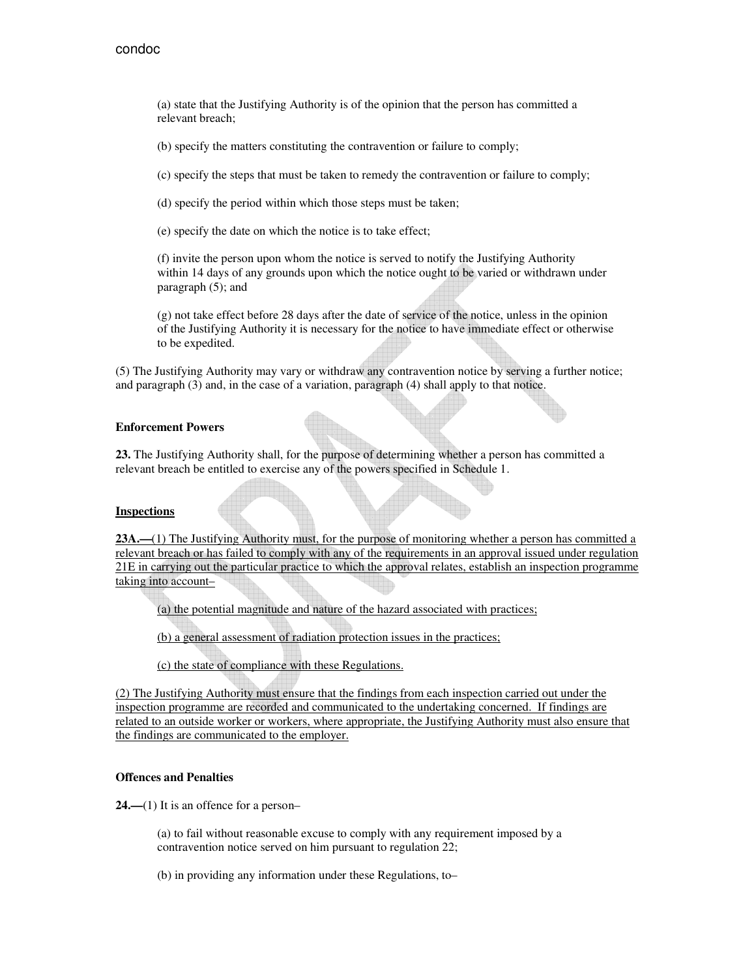(a) state that the Justifying Authority is of the opinion that the person has committed a relevant breach;

(b) specify the matters constituting the contravention or failure to comply;

(c) specify the steps that must be taken to remedy the contravention or failure to comply;

(d) specify the period within which those steps must be taken;

(e) specify the date on which the notice is to take effect;

(f) invite the person upon whom the notice is served to notify the Justifying Authority within 14 days of any grounds upon which the notice ought to be varied or withdrawn under paragraph (5); and

(g) not take effect before 28 days after the date of service of the notice, unless in the opinion of the Justifying Authority it is necessary for the notice to have immediate effect or otherwise to be expedited.

(5) The Justifying Authority may vary or withdraw any contravention notice by serving a further notice; and paragraph (3) and, in the case of a variation, paragraph (4) shall apply to that notice.

#### **Enforcement Powers**

**23.** The Justifying Authority shall, for the purpose of determining whether a person has committed a relevant breach be entitled to exercise any of the powers specified in Schedule 1.

#### **Inspections**

**23A.—**(1) The Justifying Authority must, for the purpose of monitoring whether a person has committed a relevant breach or has failed to comply with any of the requirements in an approval issued under regulation 21E in carrying out the particular practice to which the approval relates, establish an inspection programme taking into account–

(a) the potential magnitude and nature of the hazard associated with practices;

(b) a general assessment of radiation protection issues in the practices;

(c) the state of compliance with these Regulations.

(2) The Justifying Authority must ensure that the findings from each inspection carried out under the inspection programme are recorded and communicated to the undertaking concerned. If findings are related to an outside worker or workers, where appropriate, the Justifying Authority must also ensure that the findings are communicated to the employer.

#### **Offences and Penalties**

**24.—**(1) It is an offence for a person–

(a) to fail without reasonable excuse to comply with any requirement imposed by a contravention notice served on him pursuant to regulation 22;

(b) in providing any information under these Regulations, to–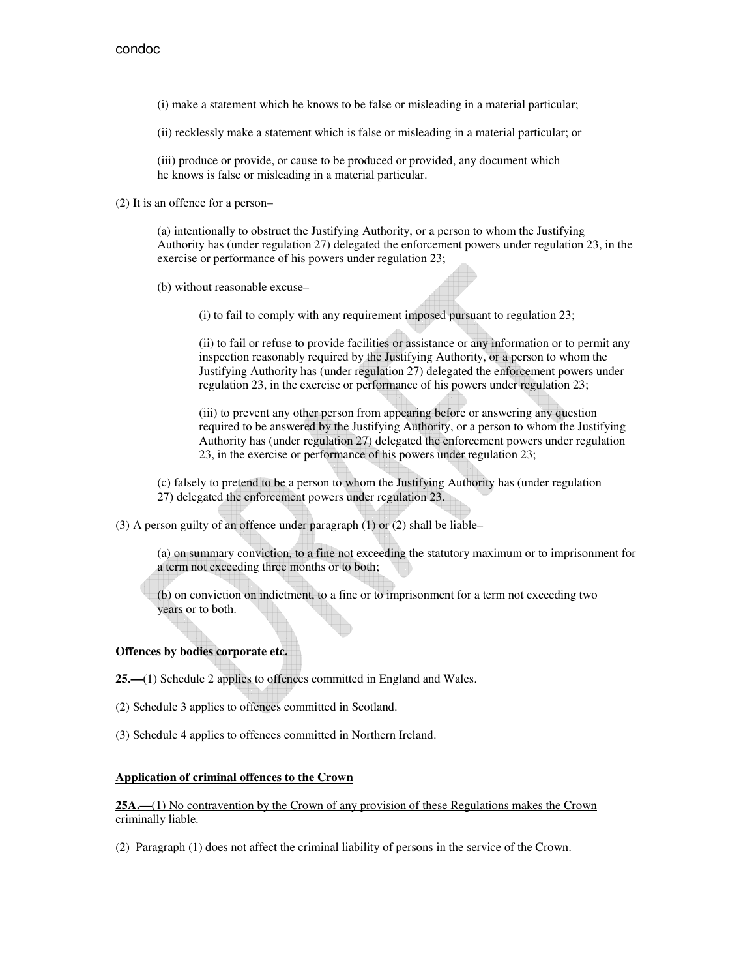(i) make a statement which he knows to be false or misleading in a material particular;

(ii) recklessly make a statement which is false or misleading in a material particular; or

(iii) produce or provide, or cause to be produced or provided, any document which he knows is false or misleading in a material particular.

(2) It is an offence for a person–

(a) intentionally to obstruct the Justifying Authority, or a person to whom the Justifying Authority has (under regulation 27) delegated the enforcement powers under regulation 23, in the exercise or performance of his powers under regulation 23;

(b) without reasonable excuse–

(i) to fail to comply with any requirement imposed pursuant to regulation 23;

(ii) to fail or refuse to provide facilities or assistance or any information or to permit any inspection reasonably required by the Justifying Authority, or a person to whom the Justifying Authority has (under regulation 27) delegated the enforcement powers under regulation 23, in the exercise or performance of his powers under regulation 23;

(iii) to prevent any other person from appearing before or answering any question required to be answered by the Justifying Authority, or a person to whom the Justifying Authority has (under regulation 27) delegated the enforcement powers under regulation 23, in the exercise or performance of his powers under regulation 23;

(c) falsely to pretend to be a person to whom the Justifying Authority has (under regulation 27) delegated the enforcement powers under regulation 23.

(3) A person guilty of an offence under paragraph (1) or (2) shall be liable–

(a) on summary conviction, to a fine not exceeding the statutory maximum or to imprisonment for a term not exceeding three months or to both;

(b) on conviction on indictment, to a fine or to imprisonment for a term not exceeding two years or to both.

### **Offences by bodies corporate etc.**

**25.—**(1) Schedule 2 applies to offences committed in England and Wales.

(2) Schedule 3 applies to offences committed in Scotland.

(3) Schedule 4 applies to offences committed in Northern Ireland.

#### **Application of criminal offences to the Crown**

**25A.—**(1) No contravention by the Crown of any provision of these Regulations makes the Crown criminally liable.

(2) Paragraph (1) does not affect the criminal liability of persons in the service of the Crown.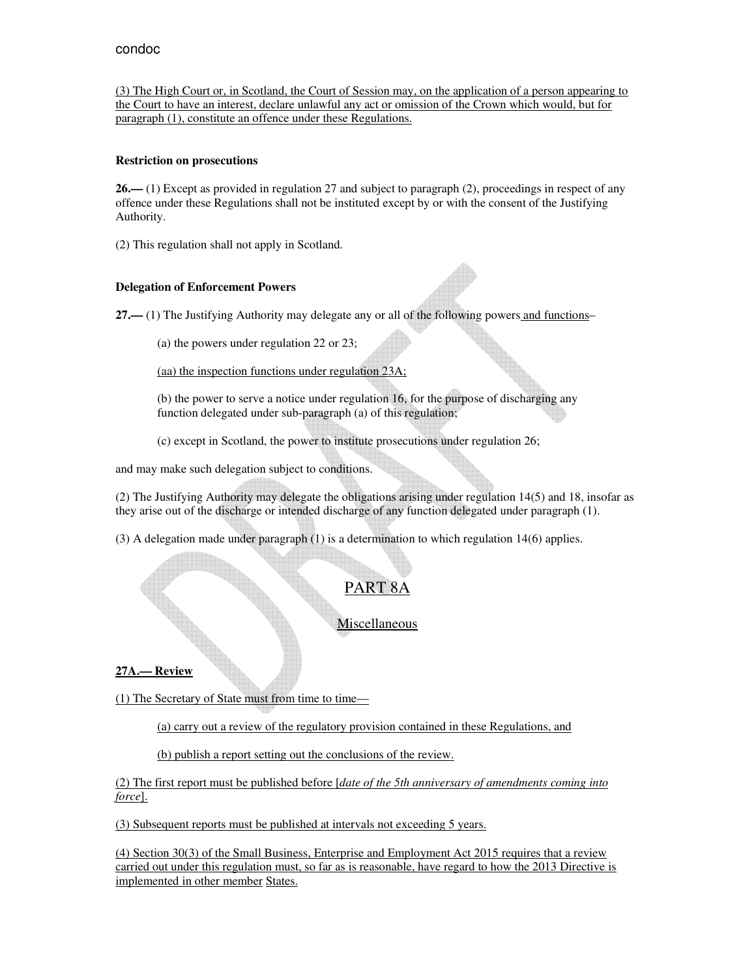(3) The High Court or, in Scotland, the Court of Session may, on the application of a person appearing to the Court to have an interest, declare unlawful any act or omission of the Crown which would, but for paragraph (1), constitute an offence under these Regulations.

### **Restriction on prosecutions**

**26.—** (1) Except as provided in regulation 27 and subject to paragraph (2), proceedings in respect of any offence under these Regulations shall not be instituted except by or with the consent of the Justifying Authority.

(2) This regulation shall not apply in Scotland.

## **Delegation of Enforcement Powers**

**27.—** (1) The Justifying Authority may delegate any or all of the following powers and functions–

(a) the powers under regulation 22 or 23;

(aa) the inspection functions under regulation 23A;

(b) the power to serve a notice under regulation 16, for the purpose of discharging any function delegated under sub-paragraph (a) of this regulation;

(c) except in Scotland, the power to institute prosecutions under regulation 26;

and may make such delegation subject to conditions.

(2) The Justifying Authority may delegate the obligations arising under regulation 14(5) and 18, insofar as they arise out of the discharge or intended discharge of any function delegated under paragraph (1).

(3) A delegation made under paragraph (1) is a determination to which regulation 14(6) applies.

# PART 8A

**Miscellaneous** 

**27A.— Review** 

(1) The Secretary of State must from time to time—

(a) carry out a review of the regulatory provision contained in these Regulations, and

(b) publish a report setting out the conclusions of the review.

(2) The first report must be published before [*date of the 5th anniversary of amendments coming into force*].

(3) Subsequent reports must be published at intervals not exceeding 5 years.

(4) Section 30(3) of the Small Business, Enterprise and Employment Act 2015 requires that a review carried out under this regulation must, so far as is reasonable, have regard to how the 2013 Directive is implemented in other member States.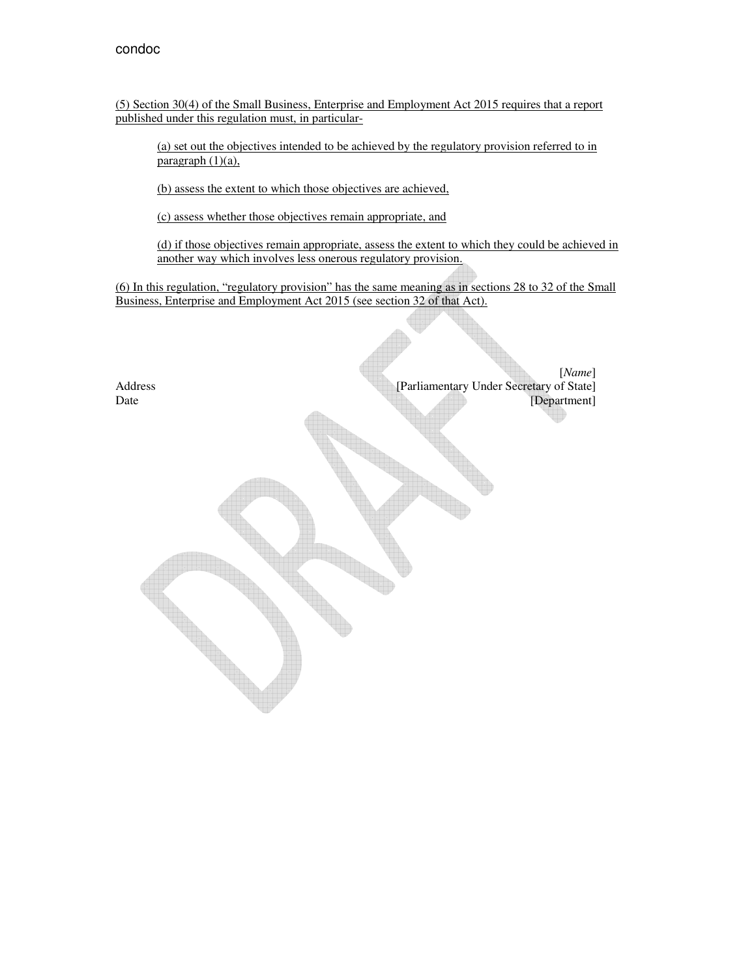(5) Section 30(4) of the Small Business, Enterprise and Employment Act 2015 requires that a report published under this regulation must, in particular-

(a) set out the objectives intended to be achieved by the regulatory provision referred to in paragraph  $(1)(a)$ ,

(b) assess the extent to which those objectives are achieved,

(c) assess whether those objectives remain appropriate, and

(d) if those objectives remain appropriate, assess the extent to which they could be achieved in another way which involves less onerous regulatory provision.

(6) In this regulation, "regulatory provision" has the same meaning as in sections 28 to 32 of the Small Business, Enterprise and Employment Act 2015 (see section 32 of that Act).

[*Name*] Address [Parliamentary Under Secretary of State]<br>Date [Department] [Department]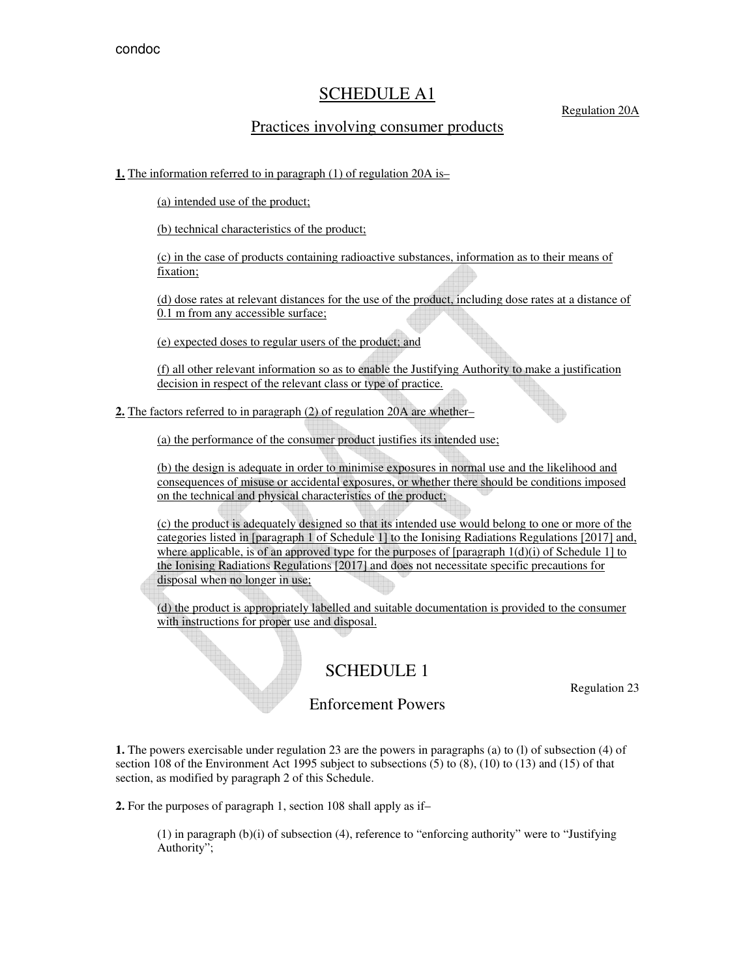## SCHEDULE A1

## Regulation 20A

## Practices involving consumer products

## **1.** The information referred to in paragraph (1) of regulation 20A is–

(a) intended use of the product;

(b) technical characteristics of the product;

(c) in the case of products containing radioactive substances, information as to their means of fixation;

(d) dose rates at relevant distances for the use of the product, including dose rates at a distance of 0.1 m from any accessible surface;

(e) expected doses to regular users of the product; and

(f) all other relevant information so as to enable the Justifying Authority to make a justification decision in respect of the relevant class or type of practice.

**2.** The factors referred to in paragraph (2) of regulation 20A are whether–

(a) the performance of the consumer product justifies its intended use;

(b) the design is adequate in order to minimise exposures in normal use and the likelihood and consequences of misuse or accidental exposures, or whether there should be conditions imposed on the technical and physical characteristics of the product;

(c) the product is adequately designed so that its intended use would belong to one or more of the categories listed in [paragraph 1 of Schedule 1] to the Ionising Radiations Regulations [2017] and, where applicable, is of an approved type for the purposes of  $[paragram] 1(d)(i)$  of Schedule 1] to the Ionising Radiations Regulations [2017] and does not necessitate specific precautions for disposal when no longer in use;

(d) the product is appropriately labelled and suitable documentation is provided to the consumer with instructions for proper use and disposal.

# SCHEDULE 1

Regulation 23

## Enforcement Powers

**1.** The powers exercisable under regulation 23 are the powers in paragraphs (a) to (l) of subsection (4) of section 108 of the Environment Act 1995 subject to subsections (5) to (8), (10) to (13) and (15) of that section, as modified by paragraph 2 of this Schedule.

**2.** For the purposes of paragraph 1, section 108 shall apply as if–

(1) in paragraph (b)(i) of subsection (4), reference to "enforcing authority" were to "Justifying Authority";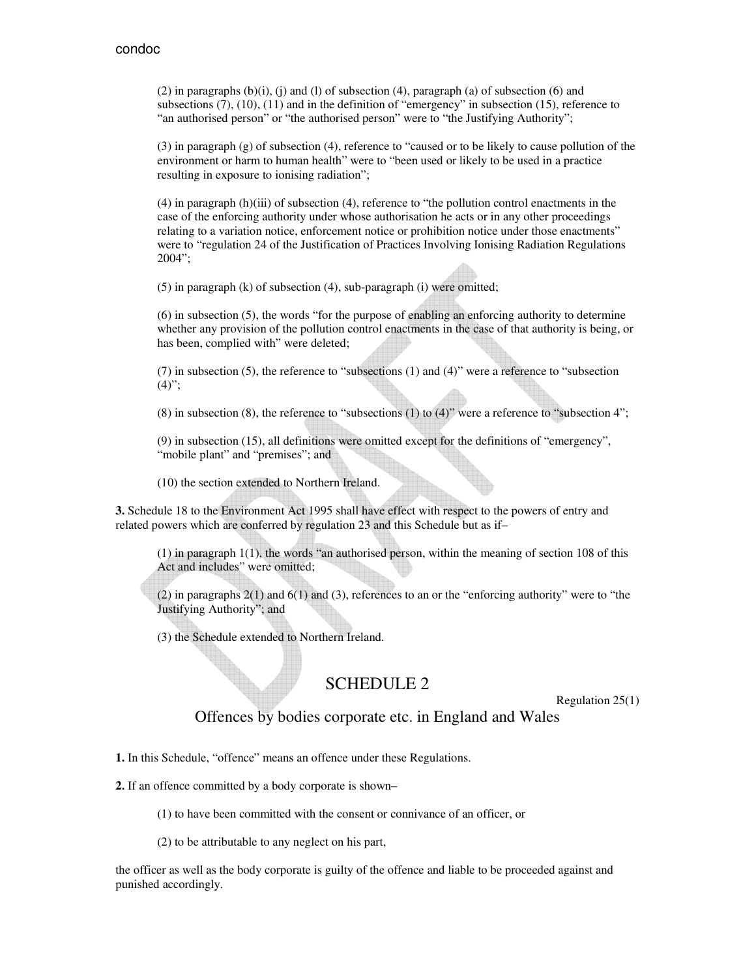$(2)$  in paragraphs  $(b)(i)$ ,  $(i)$  and  $(l)$  of subsection  $(4)$ , paragraph  $(a)$  of subsection  $(6)$  and subsections (7), (10), (11) and in the definition of "emergency" in subsection (15), reference to "an authorised person" or "the authorised person" were to "the Justifying Authority";

(3) in paragraph (g) of subsection (4), reference to "caused or to be likely to cause pollution of the environment or harm to human health" were to "been used or likely to be used in a practice resulting in exposure to ionising radiation";

(4) in paragraph (h)(iii) of subsection (4), reference to "the pollution control enactments in the case of the enforcing authority under whose authorisation he acts or in any other proceedings relating to a variation notice, enforcement notice or prohibition notice under those enactments" were to "regulation 24 of the Justification of Practices Involving Ionising Radiation Regulations 2004";

(5) in paragraph (k) of subsection (4), sub-paragraph (i) were omitted;

(6) in subsection (5), the words "for the purpose of enabling an enforcing authority to determine whether any provision of the pollution control enactments in the case of that authority is being, or has been, complied with" were deleted;

(7) in subsection (5), the reference to "subsections (1) and (4)" were a reference to "subsection  $(4)$ ";

(8) in subsection (8), the reference to "subsections (1) to (4)" were a reference to "subsection 4";

(9) in subsection (15), all definitions were omitted except for the definitions of "emergency", "mobile plant" and "premises"; and

(10) the section extended to Northern Ireland.

**3.** Schedule 18 to the Environment Act 1995 shall have effect with respect to the powers of entry and related powers which are conferred by regulation 23 and this Schedule but as if–

 $(1)$  in paragraph  $1(1)$ , the words "an authorised person, within the meaning of section 108 of this Act and includes" were omitted;

(2) in paragraphs 2(1) and 6(1) and (3), references to an or the "enforcing authority" were to "the Justifying Authority"; and

(3) the Schedule extended to Northern Ireland.

# SCHEDULE 2

Regulation 25(1)

Offences by bodies corporate etc. in England and Wales

**1.** In this Schedule, "offence" means an offence under these Regulations.

**2.** If an offence committed by a body corporate is shown–

(1) to have been committed with the consent or connivance of an officer, or

(2) to be attributable to any neglect on his part,

the officer as well as the body corporate is guilty of the offence and liable to be proceeded against and punished accordingly.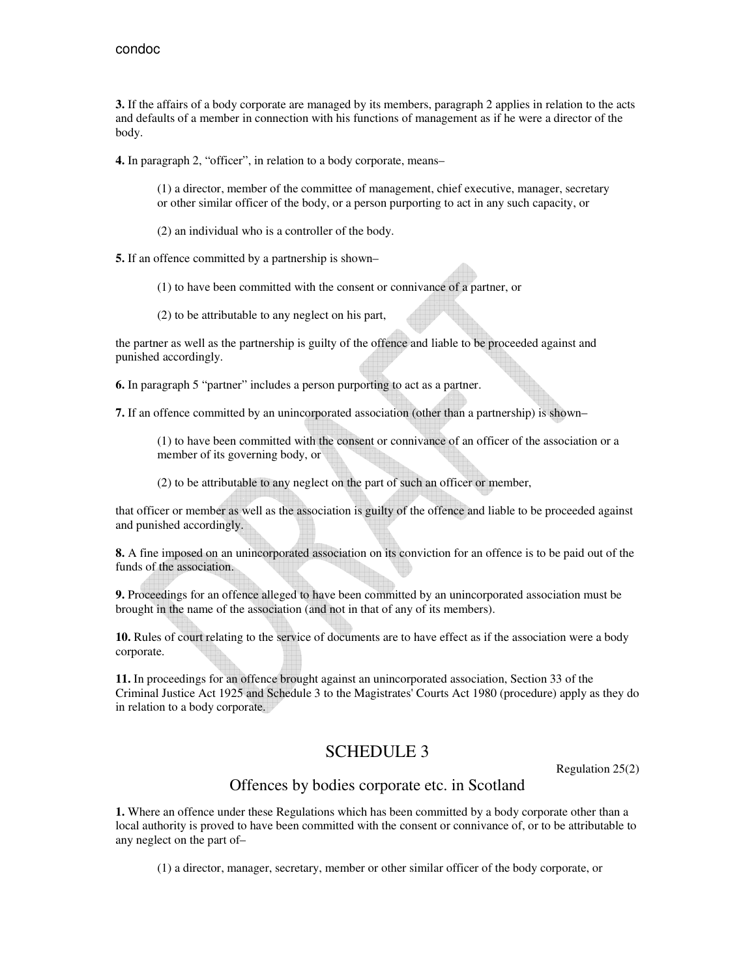**3.** If the affairs of a body corporate are managed by its members, paragraph 2 applies in relation to the acts and defaults of a member in connection with his functions of management as if he were a director of the body.

**4.** In paragraph 2, "officer", in relation to a body corporate, means–

(1) a director, member of the committee of management, chief executive, manager, secretary or other similar officer of the body, or a person purporting to act in any such capacity, or

- (2) an individual who is a controller of the body.
- **5.** If an offence committed by a partnership is shown–
	- (1) to have been committed with the consent or connivance of a partner, or
	- (2) to be attributable to any neglect on his part,

the partner as well as the partnership is guilty of the offence and liable to be proceeded against and punished accordingly.

**6.** In paragraph 5 "partner" includes a person purporting to act as a partner.

**7.** If an offence committed by an unincorporated association (other than a partnership) is shown–

(1) to have been committed with the consent or connivance of an officer of the association or a member of its governing body, or

(2) to be attributable to any neglect on the part of such an officer or member,

that officer or member as well as the association is guilty of the offence and liable to be proceeded against and punished accordingly.

**8.** A fine imposed on an unincorporated association on its conviction for an offence is to be paid out of the funds of the association.

**9.** Proceedings for an offence alleged to have been committed by an unincorporated association must be brought in the name of the association (and not in that of any of its members).

**10.** Rules of court relating to the service of documents are to have effect as if the association were a body corporate.

**11.** In proceedings for an offence brought against an unincorporated association, Section 33 of the Criminal Justice Act 1925 and Schedule 3 to the Magistrates' Courts Act 1980 (procedure) apply as they do in relation to a body corporate.

## SCHEDULE 3

Regulation 25(2)

## Offences by bodies corporate etc. in Scotland

**1.** Where an offence under these Regulations which has been committed by a body corporate other than a local authority is proved to have been committed with the consent or connivance of, or to be attributable to any neglect on the part of–

(1) a director, manager, secretary, member or other similar officer of the body corporate, or